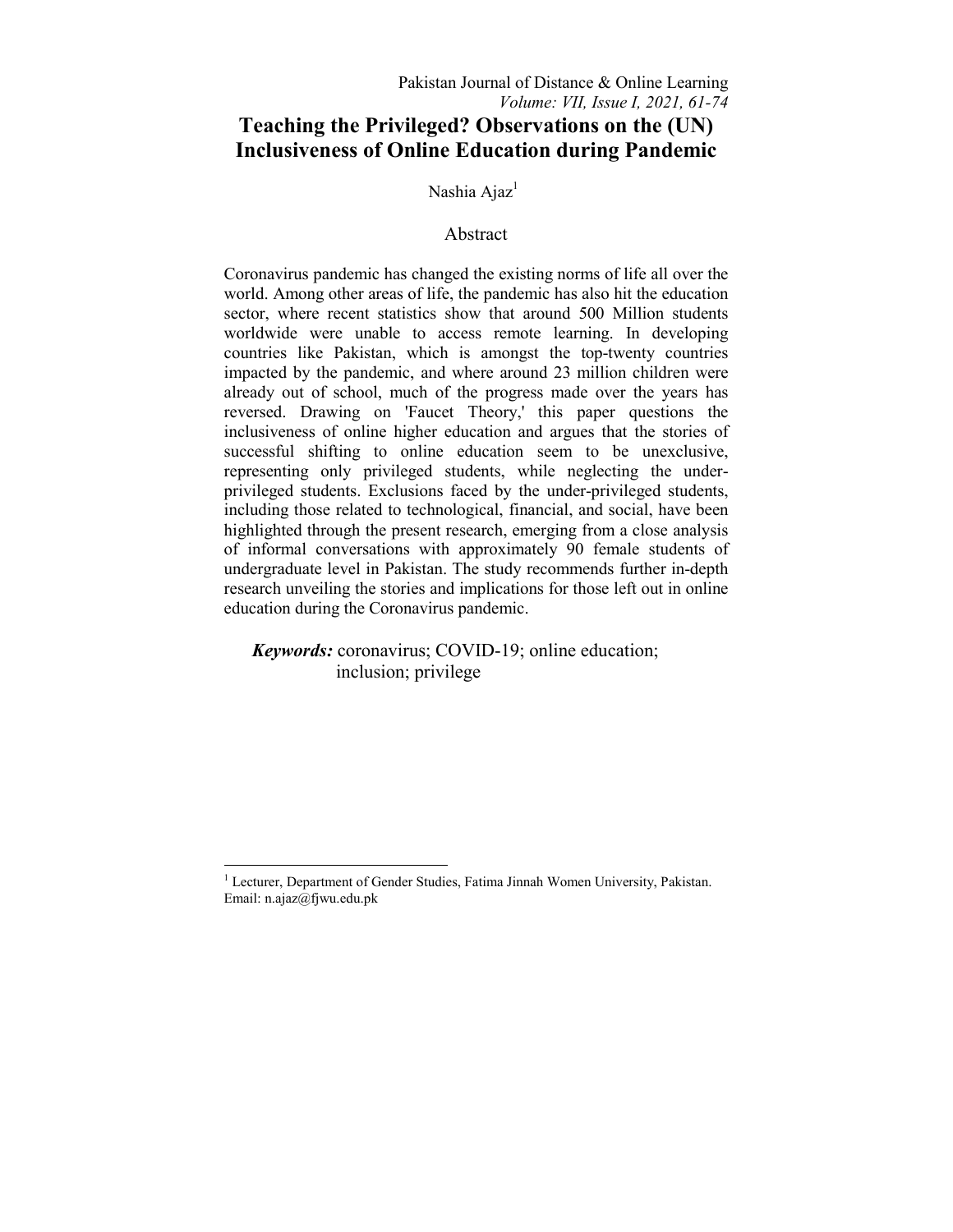# **Teaching the Privileged? Observations on the (UN) Inclusiveness of Online Education during Pandemic**

Nashia Ajaz<sup>1</sup>

# Abstract

Coronavirus pandemic has changed the existing norms of life all over the world. Among other areas of life, the pandemic has also hit the education sector, where recent statistics show that around 500 Million students worldwide were unable to access remote learning. In developing countries like Pakistan, which is amongst the top-twenty countries impacted by the pandemic, and where around 23 million children were already out of school, much of the progress made over the years has reversed. Drawing on 'Faucet Theory,' this paper questions the inclusiveness of online higher education and argues that the stories of successful shifting to online education seem to be unexclusive, representing only privileged students, while neglecting the underprivileged students. Exclusions faced by the under-privileged students, including those related to technological, financial, and social, have been highlighted through the present research, emerging from a close analysis of informal conversations with approximately 90 female students of undergraduate level in Pakistan. The study recommends further in-depth research unveiling the stories and implications for those left out in online education during the Coronavirus pandemic.

*Keywords:* coronavirus; COVID-19; online education; inclusion; privilege

 $\frac{1}{1}$ <sup>1</sup> Lecturer, Department of Gender Studies, Fatima Jinnah Women University, Pakistan. Email: n.ajaz@fjwu.edu.pk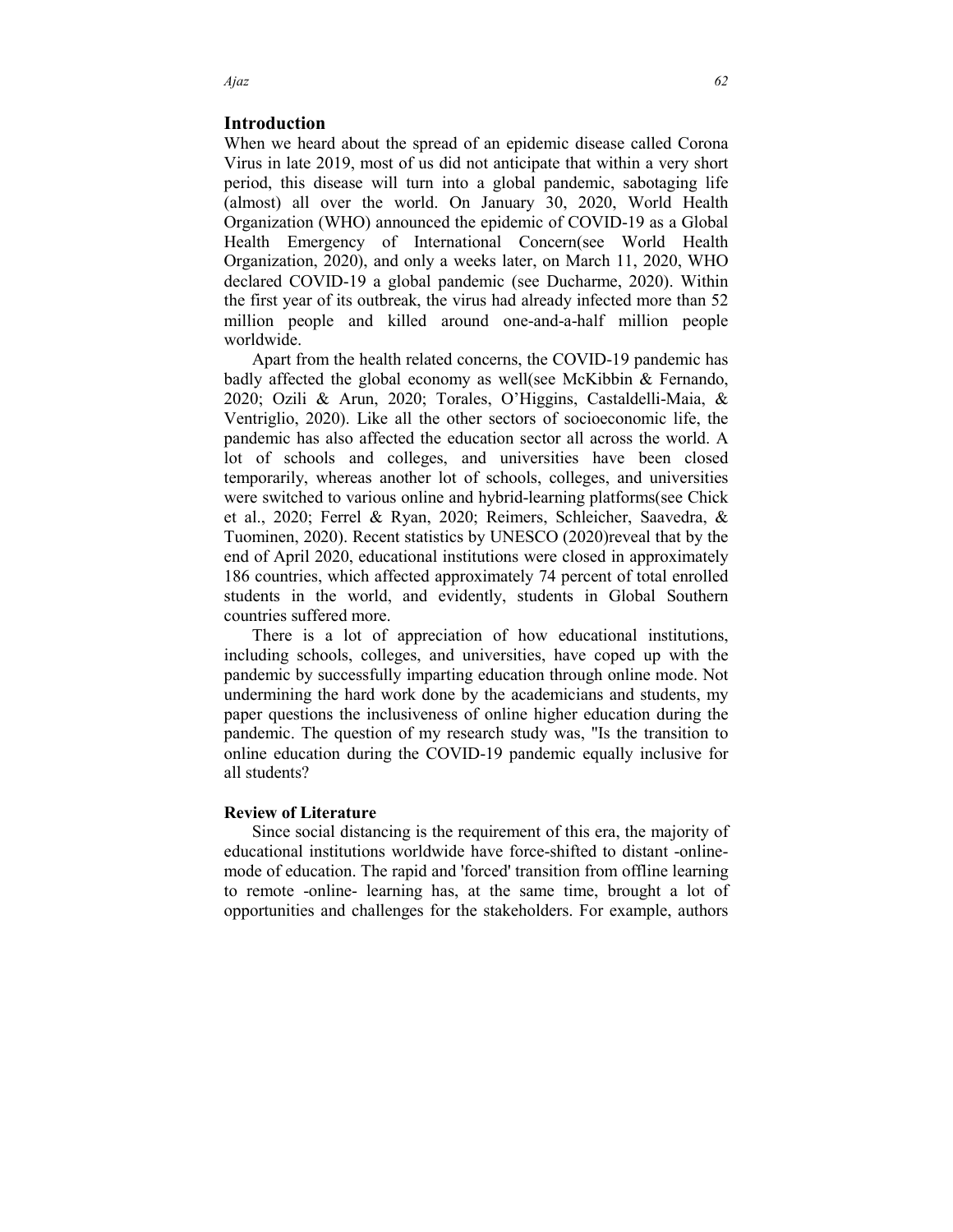### **Introduction**

When we heard about the spread of an epidemic disease called Corona Virus in late 2019, most of us did not anticipate that within a very short period, this disease will turn into a global pandemic, sabotaging life (almost) all over the world. On January 30, 2020, World Health Organization (WHO) announced the epidemic of COVID-19 as a Global Health Emergency of International Concern(see World Health Organization, 2020), and only a weeks later, on March 11, 2020, WHO declared COVID-19 a global pandemic (see Ducharme, 2020). Within the first year of its outbreak, the virus had already infected more than 52 million people and killed around one-and-a-half million people worldwide.

 Apart from the health related concerns, the COVID-19 pandemic has badly affected the global economy as well(see McKibbin & Fernando, 2020; Ozili & Arun, 2020; Torales, O'Higgins, Castaldelli-Maia, & Ventriglio, 2020). Like all the other sectors of socioeconomic life, the pandemic has also affected the education sector all across the world. A lot of schools and colleges, and universities have been closed temporarily, whereas another lot of schools, colleges, and universities were switched to various online and hybrid-learning platforms(see Chick et al., 2020; Ferrel & Ryan, 2020; Reimers, Schleicher, Saavedra, & Tuominen, 2020). Recent statistics by UNESCO (2020)reveal that by the end of April 2020, educational institutions were closed in approximately 186 countries, which affected approximately 74 percent of total enrolled students in the world, and evidently, students in Global Southern countries suffered more.

 There is a lot of appreciation of how educational institutions, including schools, colleges, and universities, have coped up with the pandemic by successfully imparting education through online mode. Not undermining the hard work done by the academicians and students, my paper questions the inclusiveness of online higher education during the pandemic. The question of my research study was, "Is the transition to online education during the COVID-19 pandemic equally inclusive for all students?

#### **Review of Literature**

 Since social distancing is the requirement of this era, the majority of educational institutions worldwide have force-shifted to distant -onlinemode of education. The rapid and 'forced' transition from offline learning to remote -online- learning has, at the same time, brought a lot of opportunities and challenges for the stakeholders. For example, authors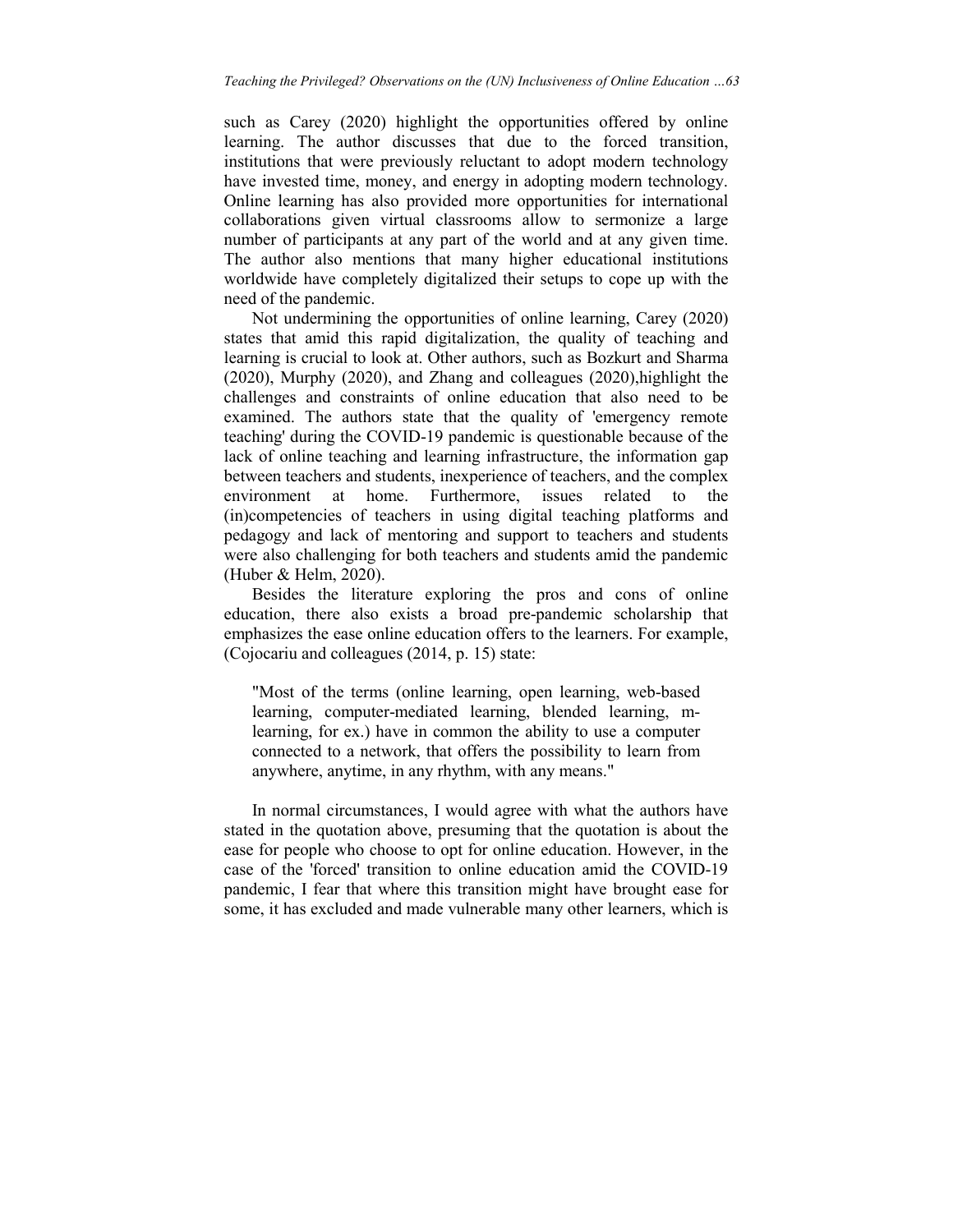such as Carey (2020) highlight the opportunities offered by online learning. The author discusses that due to the forced transition, institutions that were previously reluctant to adopt modern technology have invested time, money, and energy in adopting modern technology. Online learning has also provided more opportunities for international collaborations given virtual classrooms allow to sermonize a large number of participants at any part of the world and at any given time. The author also mentions that many higher educational institutions worldwide have completely digitalized their setups to cope up with the need of the pandemic.

 Not undermining the opportunities of online learning, Carey (2020) states that amid this rapid digitalization, the quality of teaching and learning is crucial to look at. Other authors, such as Bozkurt and Sharma (2020), Murphy (2020), and Zhang and colleagues (2020),highlight the challenges and constraints of online education that also need to be examined. The authors state that the quality of 'emergency remote teaching' during the COVID-19 pandemic is questionable because of the lack of online teaching and learning infrastructure, the information gap between teachers and students, inexperience of teachers, and the complex environment at home. Furthermore, issues related to the (in)competencies of teachers in using digital teaching platforms and pedagogy and lack of mentoring and support to teachers and students were also challenging for both teachers and students amid the pandemic (Huber & Helm, 2020).

 Besides the literature exploring the pros and cons of online education, there also exists a broad pre-pandemic scholarship that emphasizes the ease online education offers to the learners. For example, (Cojocariu and colleagues (2014, p. 15) state:

"Most of the terms (online learning, open learning, web-based learning, computer-mediated learning, blended learning, mlearning, for ex.) have in common the ability to use a computer connected to a network, that offers the possibility to learn from anywhere, anytime, in any rhythm, with any means."

 In normal circumstances, I would agree with what the authors have stated in the quotation above, presuming that the quotation is about the ease for people who choose to opt for online education. However, in the case of the 'forced' transition to online education amid the COVID-19 pandemic, I fear that where this transition might have brought ease for some, it has excluded and made vulnerable many other learners, which is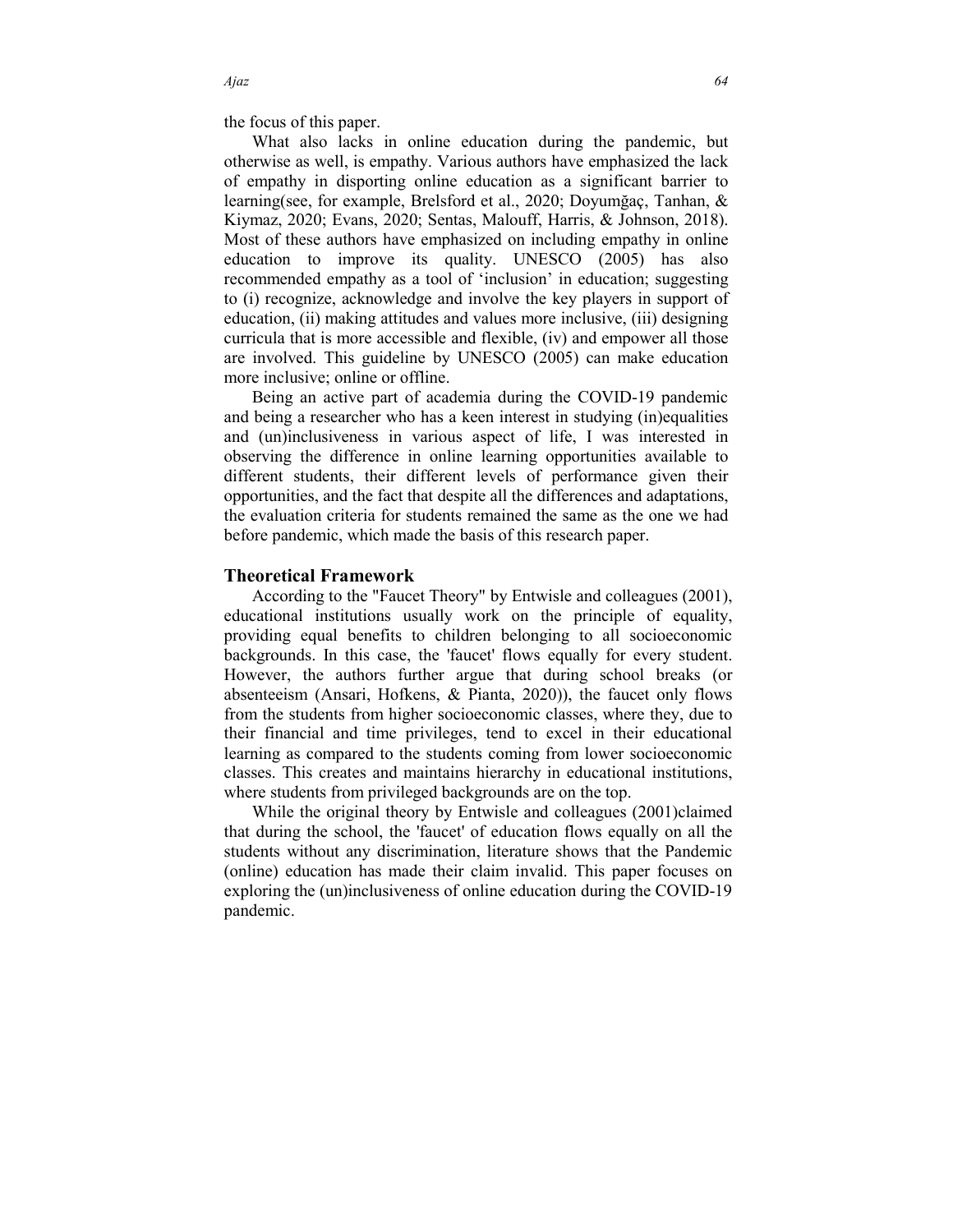the focus of this paper.

 What also lacks in online education during the pandemic, but otherwise as well, is empathy. Various authors have emphasized the lack of empathy in disporting online education as a significant barrier to learning(see, for example, Brelsford et al., 2020; Doyumğaç, Tanhan, & Kiymaz, 2020; Evans, 2020; Sentas, Malouff, Harris, & Johnson, 2018). Most of these authors have emphasized on including empathy in online education to improve its quality. UNESCO (2005) has also recommended empathy as a tool of 'inclusion' in education; suggesting to (i) recognize, acknowledge and involve the key players in support of education, (ii) making attitudes and values more inclusive, (iii) designing curricula that is more accessible and flexible, (iv) and empower all those are involved. This guideline by UNESCO (2005) can make education more inclusive; online or offline.

 Being an active part of academia during the COVID-19 pandemic and being a researcher who has a keen interest in studying (in)equalities and (un)inclusiveness in various aspect of life, I was interested in observing the difference in online learning opportunities available to different students, their different levels of performance given their opportunities, and the fact that despite all the differences and adaptations, the evaluation criteria for students remained the same as the one we had before pandemic, which made the basis of this research paper.

### **Theoretical Framework**

 According to the "Faucet Theory" by Entwisle and colleagues (2001), educational institutions usually work on the principle of equality, providing equal benefits to children belonging to all socioeconomic backgrounds. In this case, the 'faucet' flows equally for every student. However, the authors further argue that during school breaks (or absenteeism (Ansari, Hofkens, & Pianta, 2020)), the faucet only flows from the students from higher socioeconomic classes, where they, due to their financial and time privileges, tend to excel in their educational learning as compared to the students coming from lower socioeconomic classes. This creates and maintains hierarchy in educational institutions, where students from privileged backgrounds are on the top.

While the original theory by Entwisle and colleagues (2001)claimed that during the school, the 'faucet' of education flows equally on all the students without any discrimination, literature shows that the Pandemic (online) education has made their claim invalid. This paper focuses on exploring the (un)inclusiveness of online education during the COVID-19 pandemic.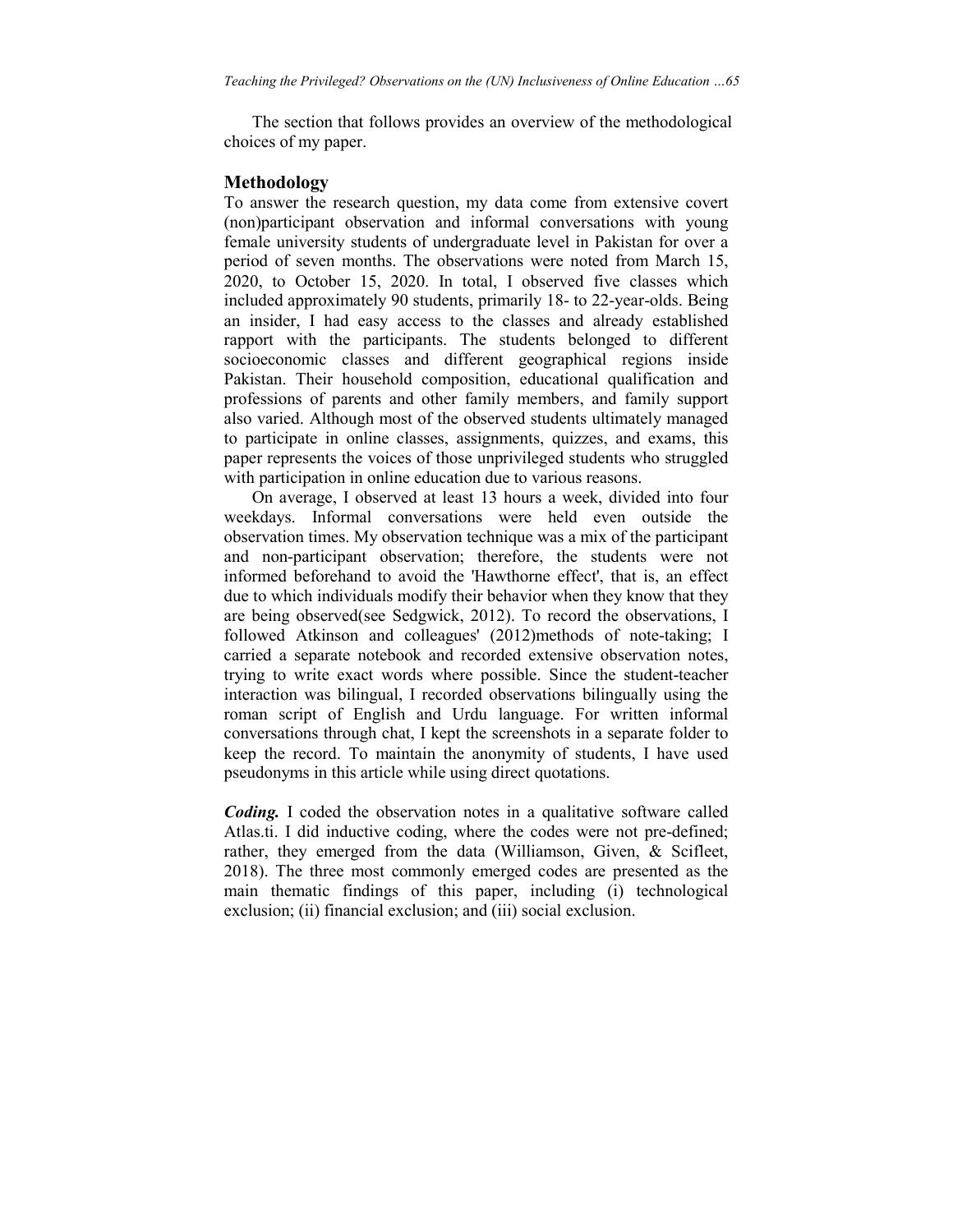The section that follows provides an overview of the methodological choices of my paper.

### **Methodology**

To answer the research question, my data come from extensive covert (non)participant observation and informal conversations with young female university students of undergraduate level in Pakistan for over a period of seven months. The observations were noted from March 15, 2020, to October 15, 2020. In total, I observed five classes which included approximately 90 students, primarily 18- to 22-year-olds. Being an insider, I had easy access to the classes and already established rapport with the participants. The students belonged to different socioeconomic classes and different geographical regions inside Pakistan. Their household composition, educational qualification and professions of parents and other family members, and family support also varied. Although most of the observed students ultimately managed to participate in online classes, assignments, quizzes, and exams, this paper represents the voices of those unprivileged students who struggled with participation in online education due to various reasons.

 On average, I observed at least 13 hours a week, divided into four weekdays. Informal conversations were held even outside the observation times. My observation technique was a mix of the participant and non-participant observation; therefore, the students were not informed beforehand to avoid the 'Hawthorne effect', that is, an effect due to which individuals modify their behavior when they know that they are being observed(see Sedgwick, 2012). To record the observations, I followed Atkinson and colleagues' (2012)methods of note-taking; I carried a separate notebook and recorded extensive observation notes, trying to write exact words where possible. Since the student-teacher interaction was bilingual, I recorded observations bilingually using the roman script of English and Urdu language. For written informal conversations through chat, I kept the screenshots in a separate folder to keep the record. To maintain the anonymity of students, I have used pseudonyms in this article while using direct quotations.

*Coding.* I coded the observation notes in a qualitative software called Atlas.ti. I did inductive coding, where the codes were not pre-defined; rather, they emerged from the data (Williamson, Given, & Scifleet, 2018). The three most commonly emerged codes are presented as the main thematic findings of this paper, including (i) technological exclusion; (ii) financial exclusion; and (iii) social exclusion.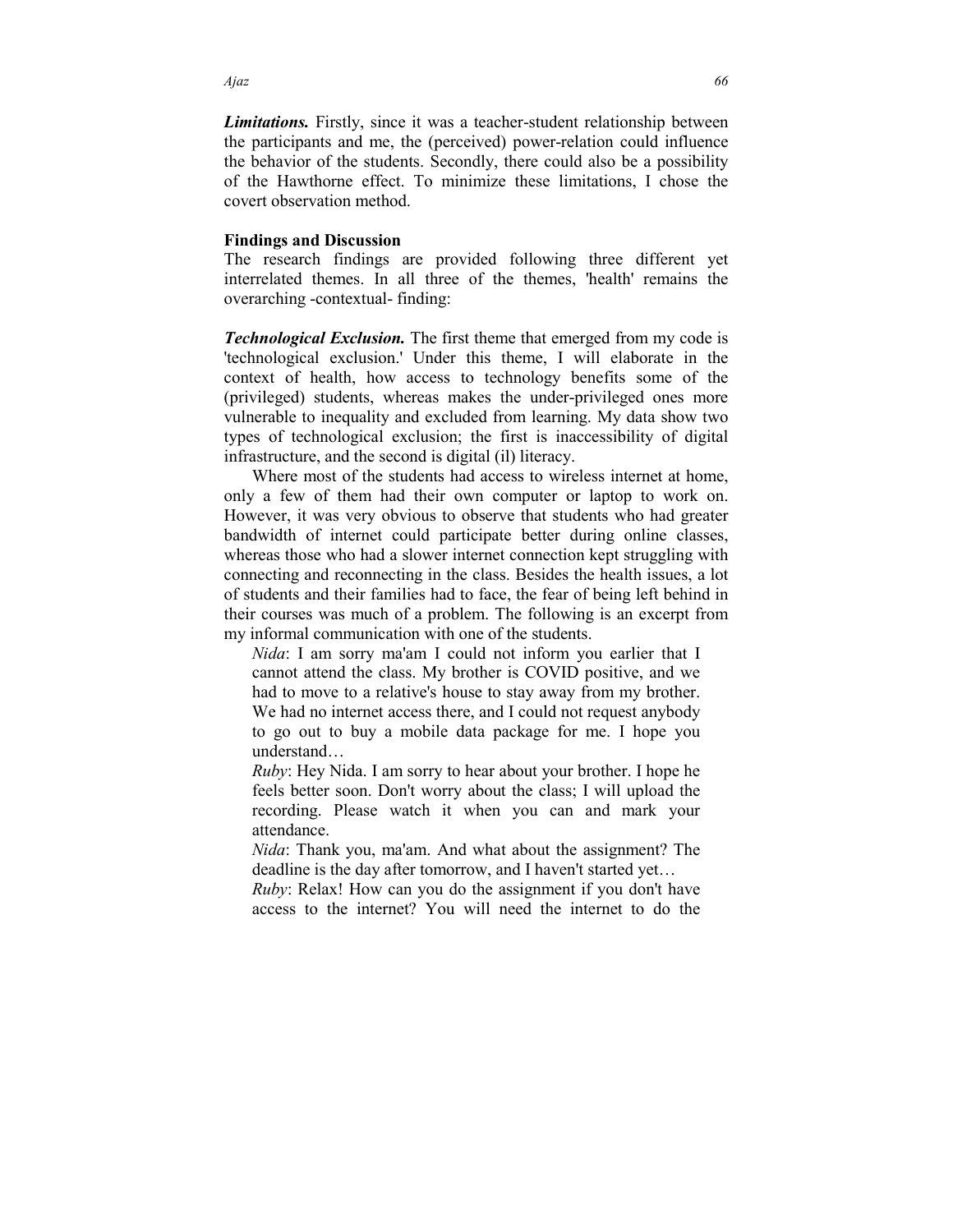*Limitations.* Firstly, since it was a teacher-student relationship between the participants and me, the (perceived) power-relation could influence the behavior of the students. Secondly, there could also be a possibility of the Hawthorne effect. To minimize these limitations, I chose the covert observation method.

#### **Findings and Discussion**

The research findings are provided following three different yet interrelated themes. In all three of the themes, 'health' remains the overarching -contextual- finding:

*Technological Exclusion.* The first theme that emerged from my code is 'technological exclusion.' Under this theme, I will elaborate in the context of health, how access to technology benefits some of the (privileged) students, whereas makes the under-privileged ones more vulnerable to inequality and excluded from learning. My data show two types of technological exclusion; the first is inaccessibility of digital infrastructure, and the second is digital (il) literacy.

 Where most of the students had access to wireless internet at home, only a few of them had their own computer or laptop to work on. However, it was very obvious to observe that students who had greater bandwidth of internet could participate better during online classes, whereas those who had a slower internet connection kept struggling with connecting and reconnecting in the class. Besides the health issues, a lot of students and their families had to face, the fear of being left behind in their courses was much of a problem. The following is an excerpt from my informal communication with one of the students.

*Nida*: I am sorry ma'am I could not inform you earlier that I cannot attend the class. My brother is COVID positive, and we had to move to a relative's house to stay away from my brother. We had no internet access there, and I could not request anybody to go out to buy a mobile data package for me. I hope you understand…

*Ruby*: Hey Nida. I am sorry to hear about your brother. I hope he feels better soon. Don't worry about the class; I will upload the recording. Please watch it when you can and mark your attendance.

*Nida*: Thank you, ma'am. And what about the assignment? The deadline is the day after tomorrow, and I haven't started yet…

*Ruby*: Relax! How can you do the assignment if you don't have access to the internet? You will need the internet to do the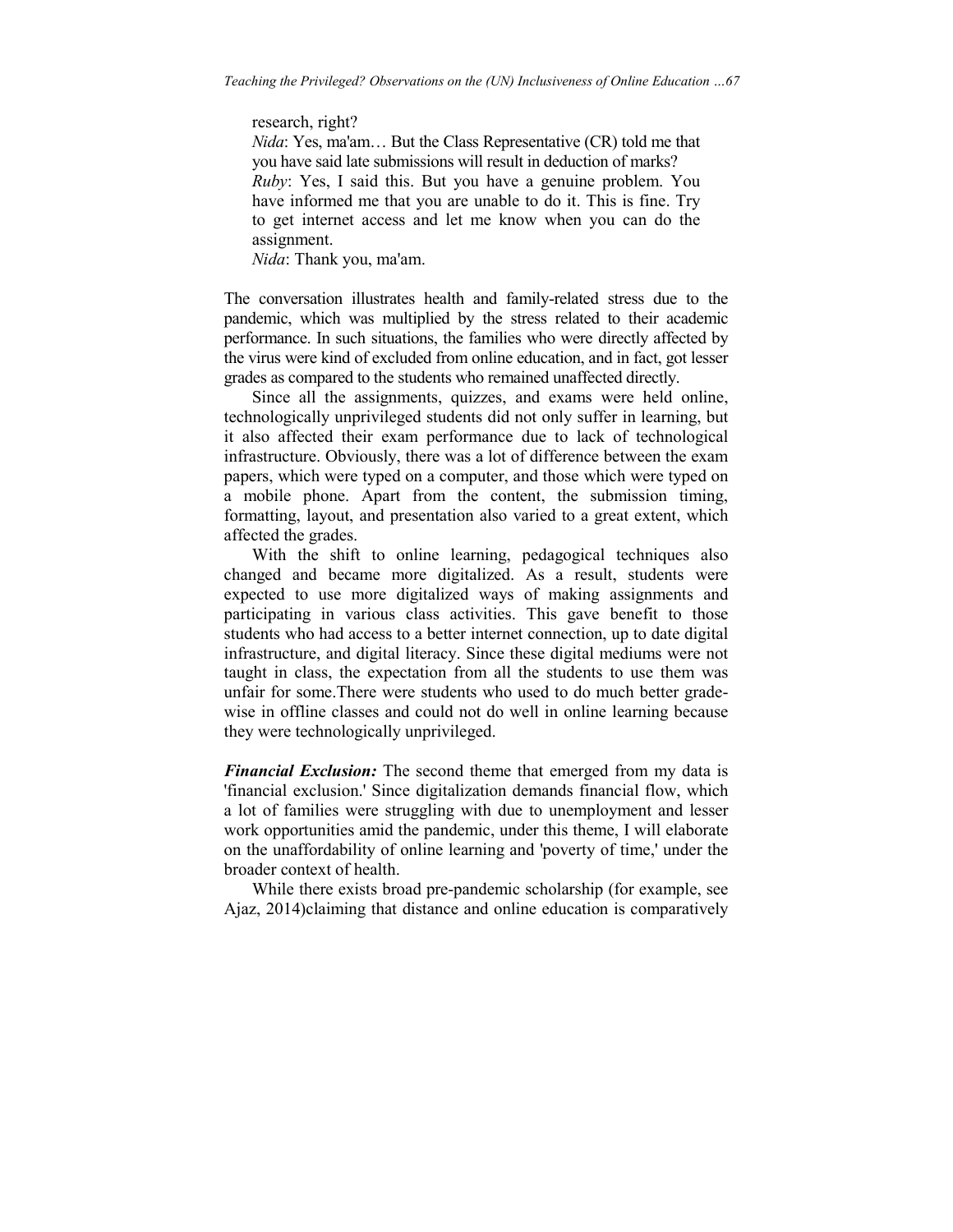research, right?

*Nida*: Yes, ma'am… But the Class Representative (CR) told me that you have said late submissions will result in deduction of marks? *Ruby*: Yes, I said this. But you have a genuine problem. You have informed me that you are unable to do it. This is fine. Try to get internet access and let me know when you can do the assignment.

*Nida*: Thank you, ma'am.

The conversation illustrates health and family-related stress due to the pandemic, which was multiplied by the stress related to their academic performance. In such situations, the families who were directly affected by the virus were kind of excluded from online education, and in fact, got lesser grades as compared to the students who remained unaffected directly.

 Since all the assignments, quizzes, and exams were held online, technologically unprivileged students did not only suffer in learning, but it also affected their exam performance due to lack of technological infrastructure. Obviously, there was a lot of difference between the exam papers, which were typed on a computer, and those which were typed on a mobile phone. Apart from the content, the submission timing, formatting, layout, and presentation also varied to a great extent, which affected the grades.

 With the shift to online learning, pedagogical techniques also changed and became more digitalized. As a result, students were expected to use more digitalized ways of making assignments and participating in various class activities. This gave benefit to those students who had access to a better internet connection, up to date digital infrastructure, and digital literacy. Since these digital mediums were not taught in class, the expectation from all the students to use them was unfair for some.There were students who used to do much better gradewise in offline classes and could not do well in online learning because they were technologically unprivileged.

*Financial Exclusion:* The second theme that emerged from my data is 'financial exclusion.' Since digitalization demands financial flow, which a lot of families were struggling with due to unemployment and lesser work opportunities amid the pandemic, under this theme, I will elaborate on the unaffordability of online learning and 'poverty of time,' under the broader context of health.

 While there exists broad pre-pandemic scholarship (for example, see Ajaz, 2014)claiming that distance and online education is comparatively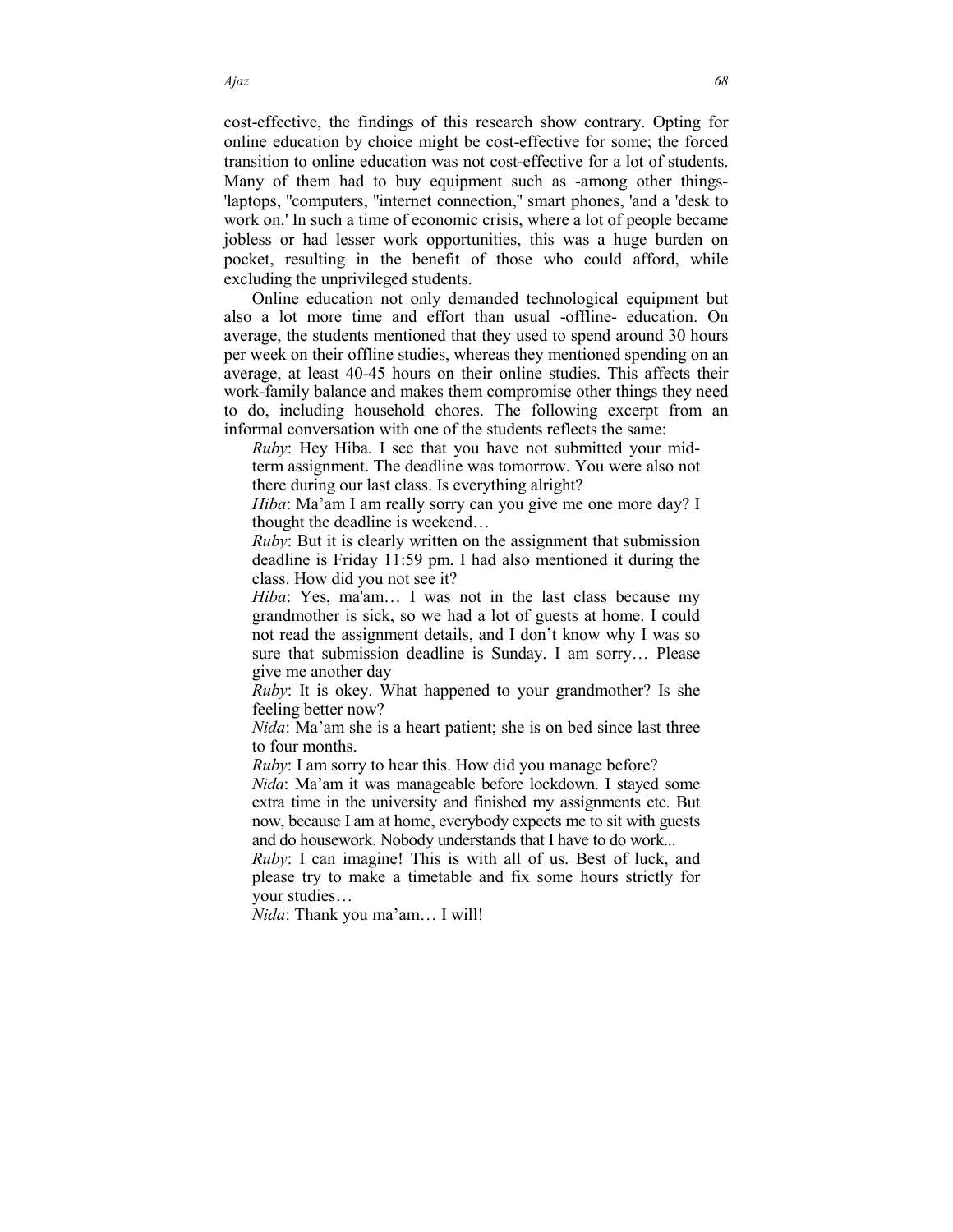cost-effective, the findings of this research show contrary. Opting for online education by choice might be cost-effective for some; the forced transition to online education was not cost-effective for a lot of students. Many of them had to buy equipment such as -among other things- 'laptops, ''computers, ''internet connection,'' smart phones, 'and a 'desk to work on.' In such a time of economic crisis, where a lot of people became jobless or had lesser work opportunities, this was a huge burden on pocket, resulting in the benefit of those who could afford, while excluding the unprivileged students.

 Online education not only demanded technological equipment but also a lot more time and effort than usual -offline- education. On average, the students mentioned that they used to spend around 30 hours per week on their offline studies, whereas they mentioned spending on an average, at least 40-45 hours on their online studies. This affects their work-family balance and makes them compromise other things they need to do, including household chores. The following excerpt from an informal conversation with one of the students reflects the same:

*Ruby*: Hey Hiba. I see that you have not submitted your midterm assignment. The deadline was tomorrow. You were also not there during our last class. Is everything alright?

*Hiba*: Ma'am I am really sorry can you give me one more day? I thought the deadline is weekend…

*Ruby*: But it is clearly written on the assignment that submission deadline is Friday 11:59 pm. I had also mentioned it during the class. How did you not see it?

*Hiba*: Yes, ma'am… I was not in the last class because my grandmother is sick, so we had a lot of guests at home. I could not read the assignment details, and I don't know why I was so sure that submission deadline is Sunday. I am sorry… Please give me another day

*Ruby*: It is okey. What happened to your grandmother? Is she feeling better now?

*Nida*: Ma'am she is a heart patient; she is on bed since last three to four months.

*Ruby*: I am sorry to hear this. How did you manage before?

*Nida*: Ma'am it was manageable before lockdown. I stayed some extra time in the university and finished my assignments etc. But now, because I am at home, everybody expects me to sit with guests and do housework. Nobody understands that I have to do work...

*Ruby*: I can imagine! This is with all of us. Best of luck, and please try to make a timetable and fix some hours strictly for your studies…

*Nida*: Thank you ma'am… I will!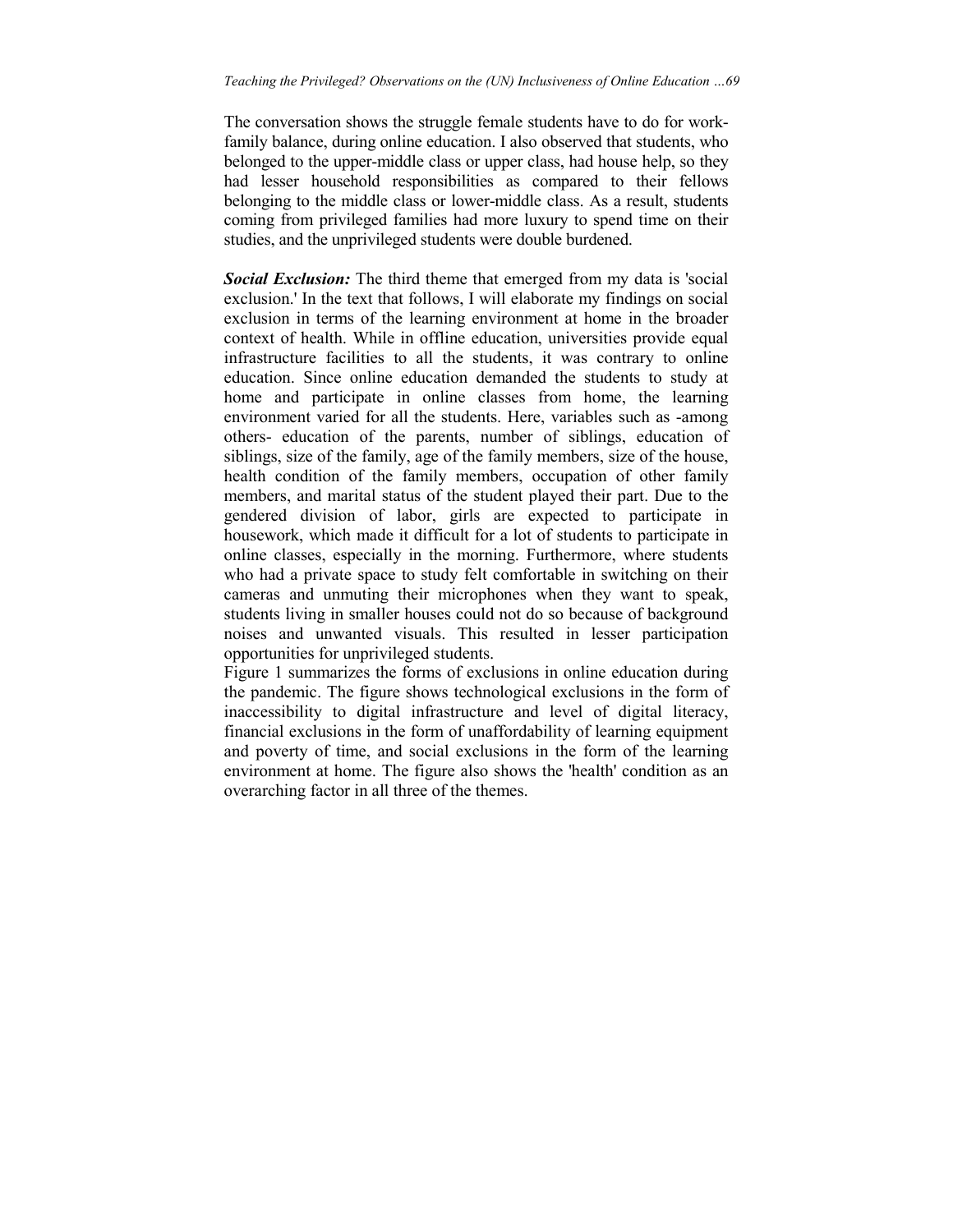The conversation shows the struggle female students have to do for workfamily balance, during online education. I also observed that students, who belonged to the upper-middle class or upper class, had house help, so they had lesser household responsibilities as compared to their fellows belonging to the middle class or lower-middle class. As a result, students coming from privileged families had more luxury to spend time on their studies, and the unprivileged students were double burdened.

*Social Exclusion:* The third theme that emerged from my data is 'social exclusion.' In the text that follows, I will elaborate my findings on social exclusion in terms of the learning environment at home in the broader context of health. While in offline education, universities provide equal infrastructure facilities to all the students, it was contrary to online education. Since online education demanded the students to study at home and participate in online classes from home, the learning environment varied for all the students. Here, variables such as -among others- education of the parents, number of siblings, education of siblings, size of the family, age of the family members, size of the house, health condition of the family members, occupation of other family members, and marital status of the student played their part. Due to the gendered division of labor, girls are expected to participate in housework, which made it difficult for a lot of students to participate in online classes, especially in the morning. Furthermore, where students who had a private space to study felt comfortable in switching on their cameras and unmuting their microphones when they want to speak, students living in smaller houses could not do so because of background noises and unwanted visuals. This resulted in lesser participation opportunities for unprivileged students.

Figure 1 summarizes the forms of exclusions in online education during the pandemic. The figure shows technological exclusions in the form of inaccessibility to digital infrastructure and level of digital literacy, financial exclusions in the form of unaffordability of learning equipment and poverty of time, and social exclusions in the form of the learning environment at home. The figure also shows the 'health' condition as an overarching factor in all three of the themes.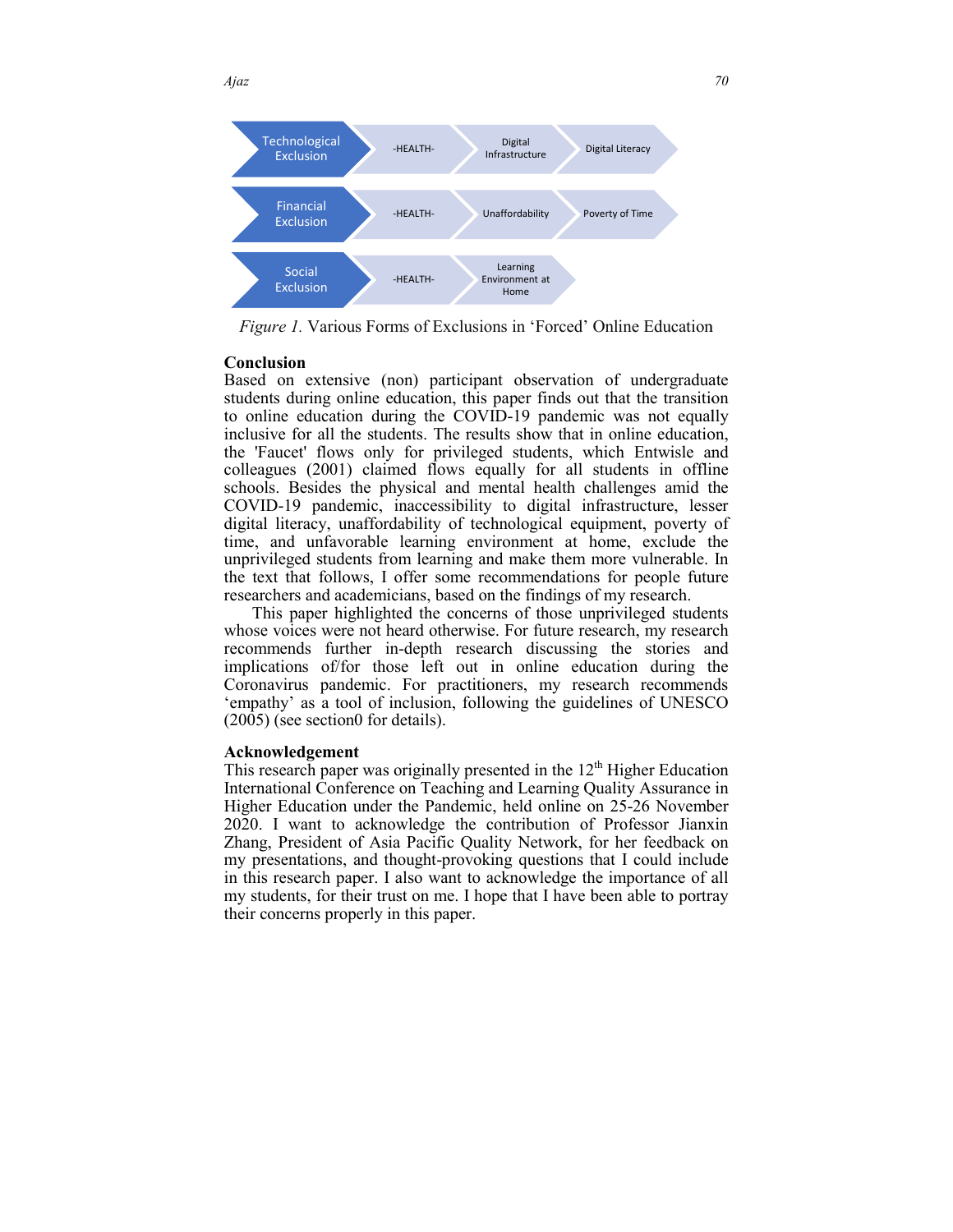

*Figure 1.* Various Forms of Exclusions in 'Forced' Online Education

#### **Conclusion**

Based on extensive (non) participant observation of undergraduate students during online education, this paper finds out that the transition to online education during the COVID-19 pandemic was not equally inclusive for all the students. The results show that in online education, the 'Faucet' flows only for privileged students, which Entwisle and colleagues (2001) claimed flows equally for all students in offline schools. Besides the physical and mental health challenges amid the COVID-19 pandemic, inaccessibility to digital infrastructure, lesser digital literacy, unaffordability of technological equipment, poverty of time, and unfavorable learning environment at home, exclude the unprivileged students from learning and make them more vulnerable. the text that follows, I offer some recommendations for people future researchers and academicians, based on the findings of my research. ne education, this paper finds out that the transition<br>during the COVID-19 pandemic was not equally<br>students. The results show that in online education,<br>only for privileged students, which Entwisle and<br>claimed flows equall

This paper highlighted the concerns of those unprivileged students whose voices were not heard otherwise. For future research, my research recommends further in-depth research discussing the stories and implications of/for those left out in online education during the Coronavirus pandemic. For practitioners, my research recommends 'empathy' as a tool of inclusion, following the guidelines of UNESCO  $(2005)$  (see section 0 for details). the text that follows, I offer some recommendations for people future<br>researchers and academicians, based on the findings of my research.<br>This paper highlighted the concerns of those unprivileged students<br>whose voices wer

#### **Acknowledgement**

Acknowledgement<br>This research paper was originally presented in the 12<sup>th</sup> Higher Education International Conference on Teaching and Learning Quality Assurance in Higher Education under the Pandemic, held online on 25 25-26 November 2020. I want to acknowledge the contribution of Professor Jianxin 2020. I want to acknowledge the contribution of Professor Jianxin Zhang, President of Asia Pacific Quality Network, for her feedback on my presentations, and thought-provoking questions that I could include in this research paper. I also want to acknowledge the importance of all my students, for their trust on me. I hope that I have been able to portray their concerns properly in this paper.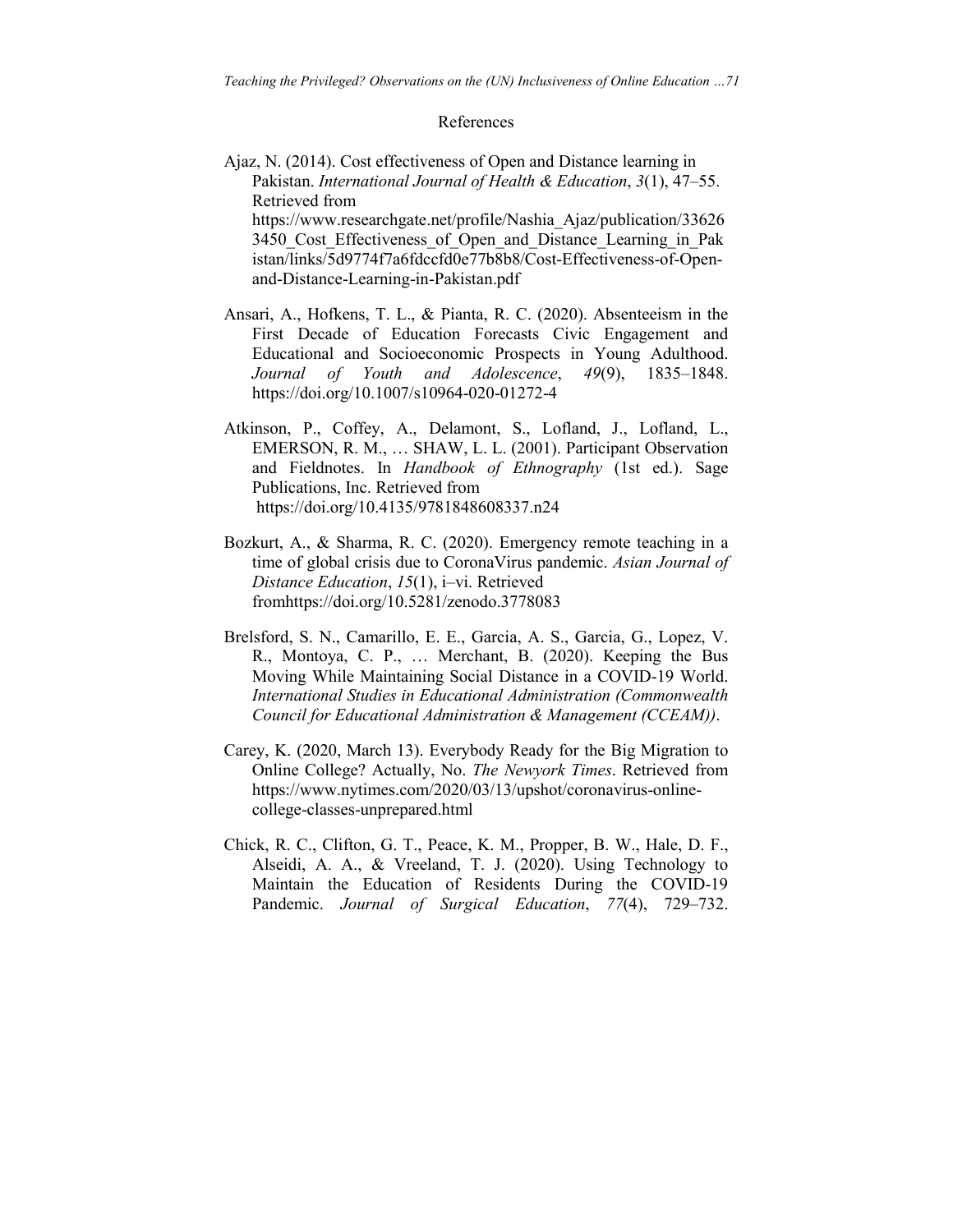#### References

Ajaz, N. (2014). Cost effectiveness of Open and Distance learning in Pakistan. *International Journal of Health & Education*, *3*(1), 47–55. Retrieved from https://www.researchgate.net/profile/Nashia\_Ajaz/publication/33626 3450 Cost Effectiveness of Open and Distance Learning in Pak istan/links/5d9774f7a6fdccfd0e77b8b8/Cost-Effectiveness-of-Openand-Distance-Learning-in-Pakistan.pdf

- Ansari, A., Hofkens, T. L., & Pianta, R. C. (2020). Absenteeism in the First Decade of Education Forecasts Civic Engagement and Educational and Socioeconomic Prospects in Young Adulthood. *Journal of Youth and Adolescence*, *49*(9), 1835–1848. https://doi.org/10.1007/s10964-020-01272-4
- Atkinson, P., Coffey, A., Delamont, S., Lofland, J., Lofland, L., EMERSON, R. M., … SHAW, L. L. (2001). Participant Observation and Fieldnotes. In *Handbook of Ethnography* (1st ed.). Sage Publications, Inc. Retrieved from https://doi.org/10.4135/9781848608337.n24
- Bozkurt, A., & Sharma, R. C. (2020). Emergency remote teaching in a time of global crisis due to CoronaVirus pandemic. *Asian Journal of Distance Education*, *15*(1), i–vi. Retrieved fromhttps://doi.org/10.5281/zenodo.3778083
- Brelsford, S. N., Camarillo, E. E., Garcia, A. S., Garcia, G., Lopez, V. R., Montoya, C. P., … Merchant, B. (2020). Keeping the Bus Moving While Maintaining Social Distance in a COVID-19 World. *International Studies in Educational Administration (Commonwealth Council for Educational Administration & Management (CCEAM))*.
- Carey, K. (2020, March 13). Everybody Ready for the Big Migration to Online College? Actually, No. *The Newyork Times*. Retrieved from https://www.nytimes.com/2020/03/13/upshot/coronavirus-onlinecollege-classes-unprepared.html
- Chick, R. C., Clifton, G. T., Peace, K. M., Propper, B. W., Hale, D. F., Alseidi, A. A., & Vreeland, T. J. (2020). Using Technology to Maintain the Education of Residents During the COVID-19 Pandemic. *Journal of Surgical Education*, *77*(4), 729–732.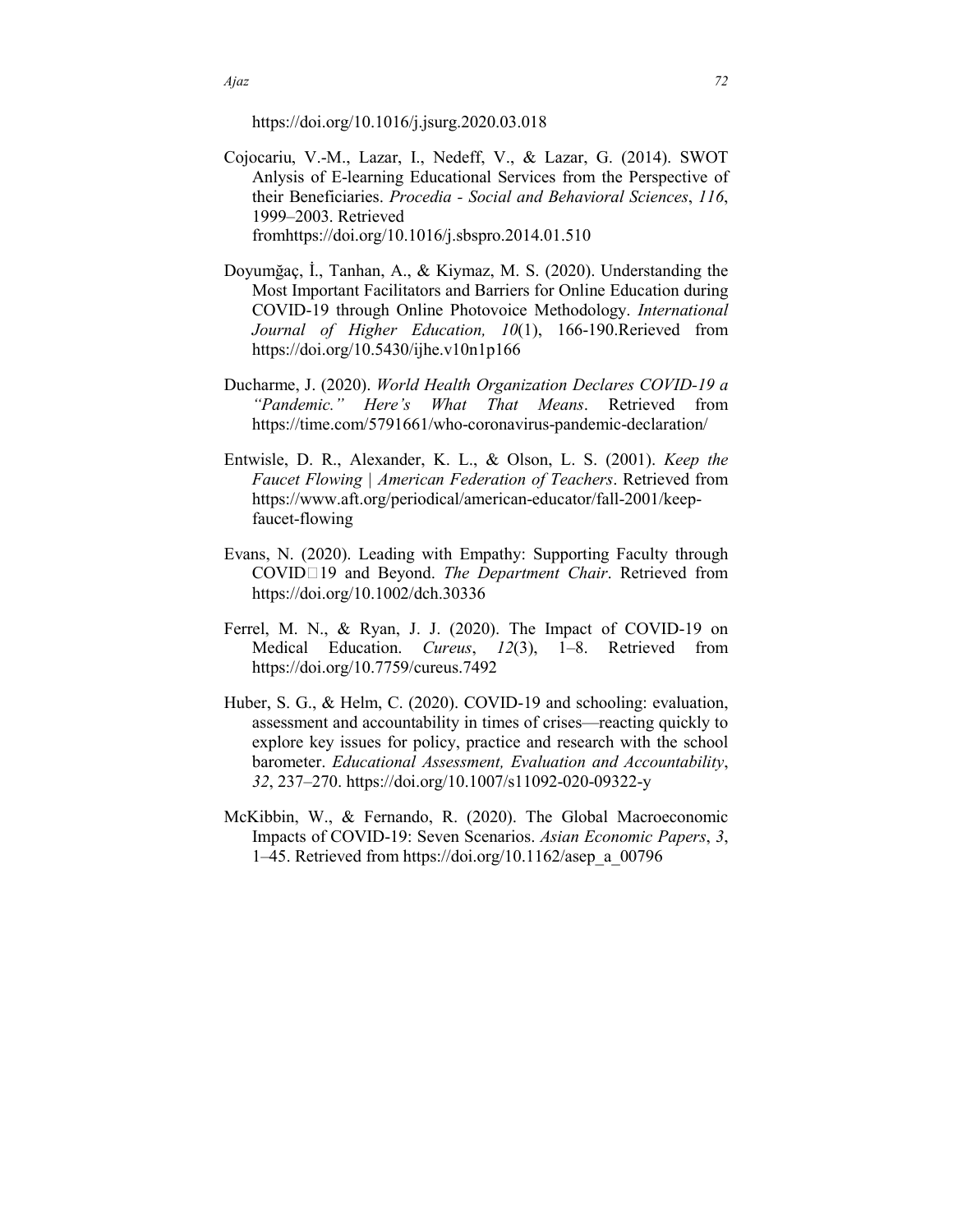https://doi.org/10.1016/j.jsurg.2020.03.018

- Cojocariu, V.-M., Lazar, I., Nedeff, V., & Lazar, G. (2014). SWOT Anlysis of E-learning Educational Services from the Perspective of their Beneficiaries. *Procedia - Social and Behavioral Sciences*, *116*, 1999–2003. Retrieved fromhttps://doi.org/10.1016/j.sbspro.2014.01.510
- Doyumğaç, İ., Tanhan, A., & Kiymaz, M. S. (2020). Understanding the Most Important Facilitators and Barriers for Online Education during COVID-19 through Online Photovoice Methodology. *International Journal of Higher Education, 10*(1), 166-190.Rerieved from https://doi.org/10.5430/ijhe.v10n1p166
- Ducharme, J. (2020). *World Health Organization Declares COVID-19 a "Pandemic." Here's What That Means*. Retrieved from https://time.com/5791661/who-coronavirus-pandemic-declaration/
- Entwisle, D. R., Alexander, K. L., & Olson, L. S. (2001). *Keep the Faucet Flowing | American Federation of Teachers*. Retrieved from https://www.aft.org/periodical/american-educator/fall-2001/keepfaucet-flowing
- Evans, N. (2020). Leading with Empathy: Supporting Faculty through COVID19 and Beyond. *The Department Chair*. Retrieved from https://doi.org/10.1002/dch.30336
- Ferrel, M. N., & Ryan, J. J. (2020). The Impact of COVID-19 on Medical Education. *Cureus*, *12*(3), 1–8. Retrieved from https://doi.org/10.7759/cureus.7492
- Huber, S. G., & Helm, C. (2020). COVID-19 and schooling: evaluation, assessment and accountability in times of crises—reacting quickly to explore key issues for policy, practice and research with the school barometer. *Educational Assessment, Evaluation and Accountability*, *32*, 237–270. https://doi.org/10.1007/s11092-020-09322-y
- McKibbin, W., & Fernando, R. (2020). The Global Macroeconomic Impacts of COVID-19: Seven Scenarios. *Asian Economic Papers*, *3*, 1–45. Retrieved from https://doi.org/10.1162/asep\_a\_00796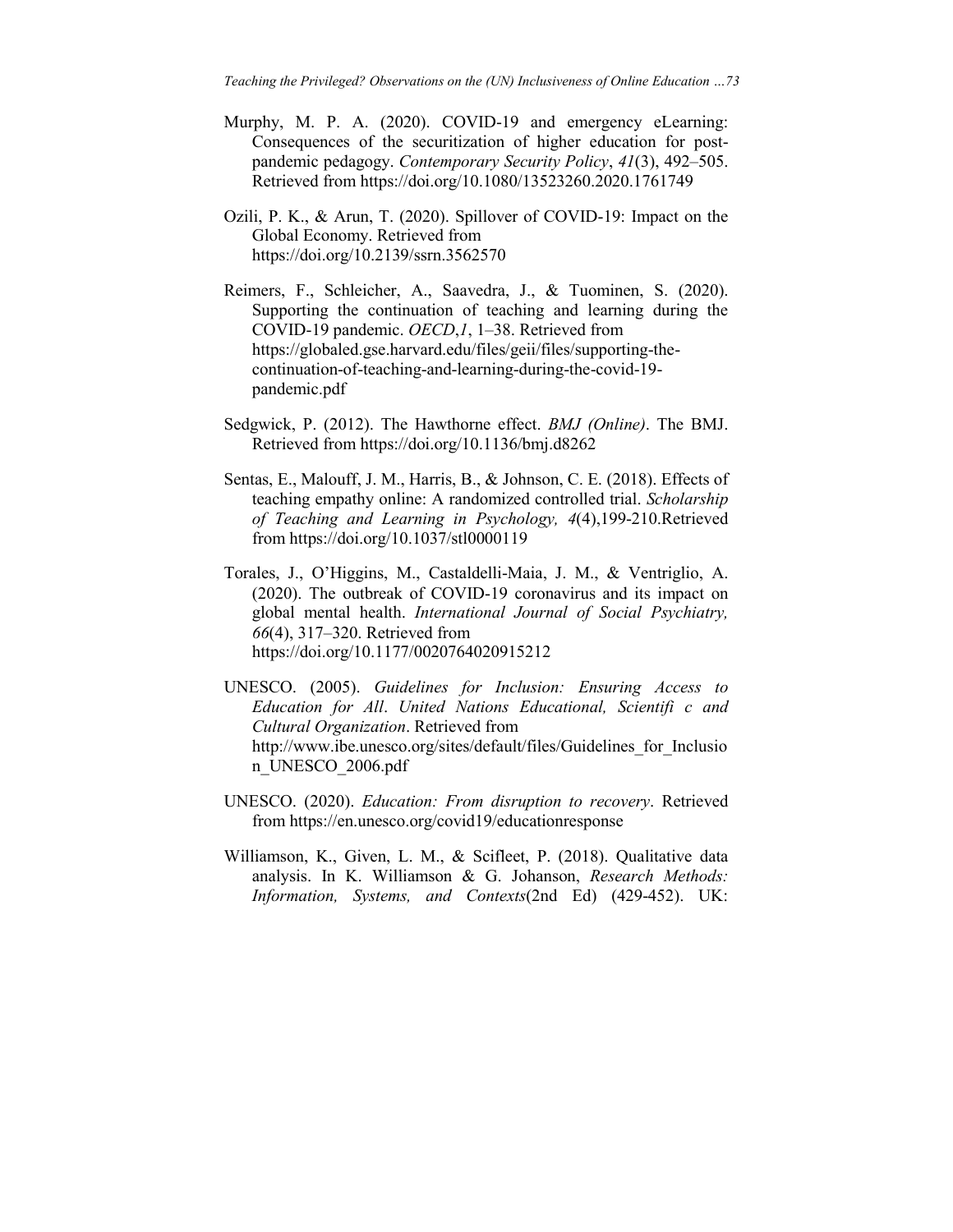- Murphy, M. P. A. (2020). COVID-19 and emergency eLearning: Consequences of the securitization of higher education for postpandemic pedagogy. *Contemporary Security Policy*, *41*(3), 492–505. Retrieved from https://doi.org/10.1080/13523260.2020.1761749
- Ozili, P. K., & Arun, T. (2020). Spillover of COVID-19: Impact on the Global Economy. Retrieved from https://doi.org/10.2139/ssrn.3562570
- Reimers, F., Schleicher, A., Saavedra, J., & Tuominen, S. (2020). Supporting the continuation of teaching and learning during the COVID-19 pandemic. *OECD*,*1*, 1–38. Retrieved from https://globaled.gse.harvard.edu/files/geii/files/supporting-thecontinuation-of-teaching-and-learning-during-the-covid-19 pandemic.pdf
- Sedgwick, P. (2012). The Hawthorne effect. *BMJ (Online)*. The BMJ. Retrieved from https://doi.org/10.1136/bmj.d8262
- Sentas, E., Malouff, J. M., Harris, B., & Johnson, C. E. (2018). Effects of teaching empathy online: A randomized controlled trial. *Scholarship of Teaching and Learning in Psychology, 4*(4),199-210.Retrieved from https://doi.org/10.1037/stl0000119
- Torales, J., O'Higgins, M., Castaldelli-Maia, J. M., & Ventriglio, A. (2020). The outbreak of COVID-19 coronavirus and its impact on global mental health. *International Journal of Social Psychiatry, 66*(4), 317–320. Retrieved from https://doi.org/10.1177/0020764020915212
- UNESCO. (2005). *Guidelines for Inclusion: Ensuring Access to Education for All*. *United Nations Educational, Scientifi c and Cultural Organization*. Retrieved from http://www.ibe.unesco.org/sites/default/files/Guidelines\_for\_Inclusio n\_UNESCO\_2006.pdf
- UNESCO. (2020). *Education: From disruption to recovery*. Retrieved from https://en.unesco.org/covid19/educationresponse
- Williamson, K., Given, L. M., & Scifleet, P. (2018). Qualitative data analysis. In K. Williamson & G. Johanson, *Research Methods: Information, Systems, and Contexts*(2nd Ed) (429-452). UK: